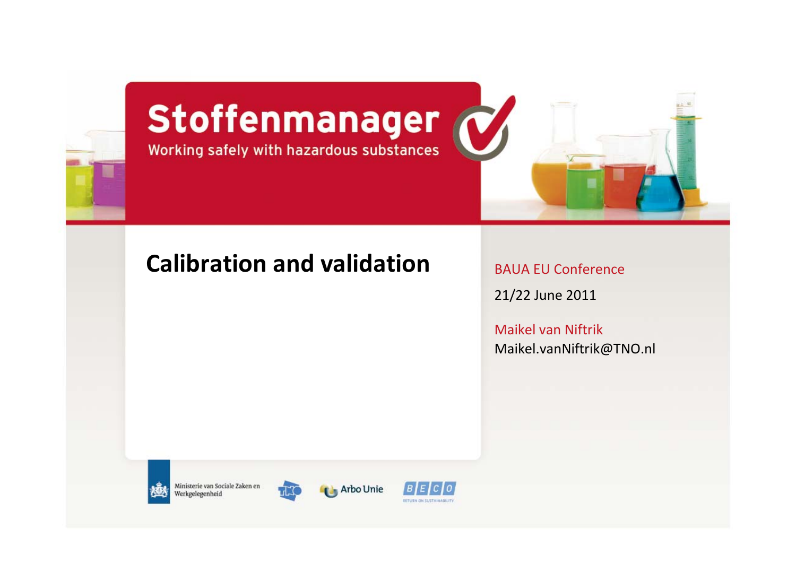

# Stoffenmanager



#### **Calibration and validation**

BAUA EU Conference

21/22 June 2011

Maikel van Niftrik [Maikel.vanNiftrik@TNO.nl](mailto:Maikel.vanNiftrik@TNO.nl)



Ministerie van Sociale Zaken en Werkgelegenheid



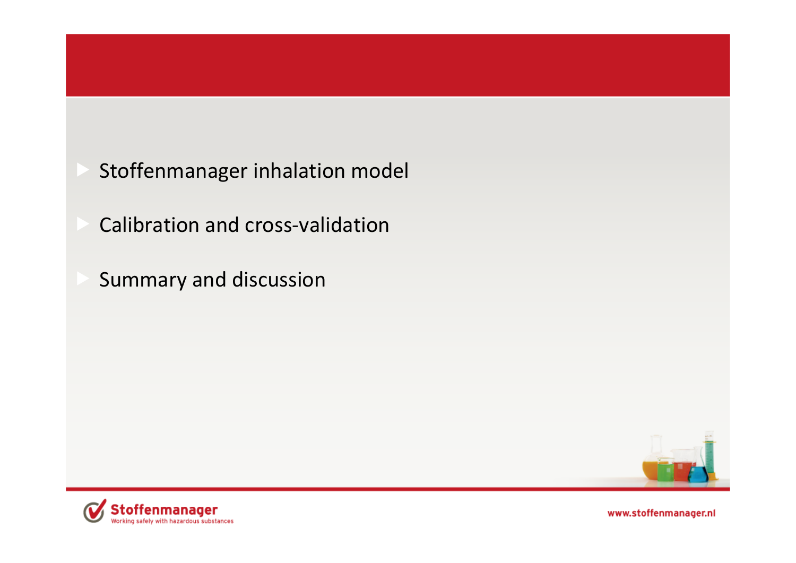- Stoffenmanager inhalation model
- Calibration and cross‐validation
- Summary and discussion



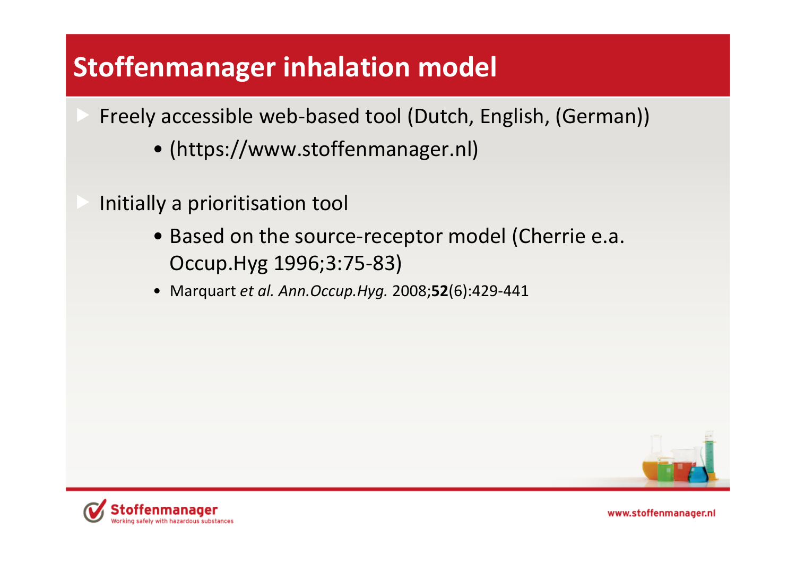## **Stoffenmanager inhalation model**

- Freely accessible web‐based tool (Dutch, English, (German))
	- ([https://www.stoffenmanager.nl\)](https://www.stoffenmanager.nl)
- Initially <sup>a</sup> prioritisation tool
	- Based on the source‐receptor model (Cherrie e.a. Occup.Hyg 1996;3:75‐83)
	- Marquart *et al. Ann.Occup.Hyg.* 2008;**52**(6):429‐441



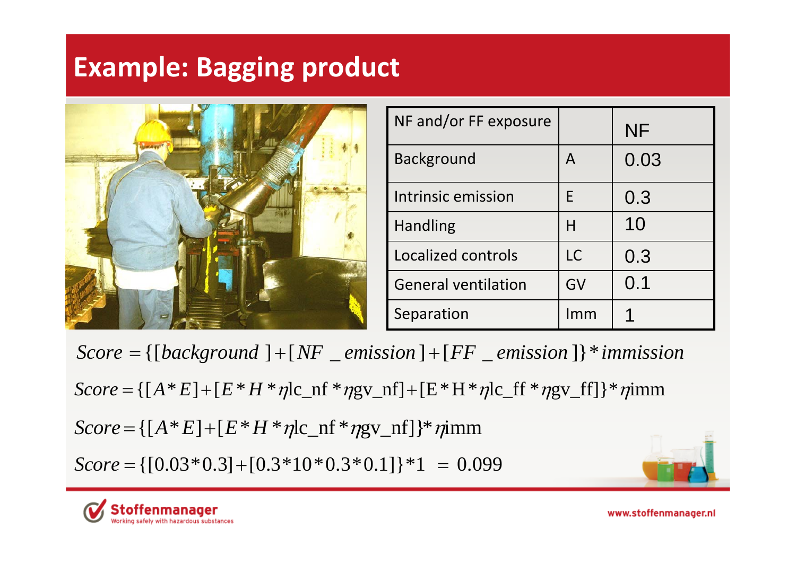## **Example: Bagging product**



| NF and/or FF exposure      |           | <b>NF</b> |
|----------------------------|-----------|-----------|
| <b>Background</b>          | A         | 0.03      |
| Intrinsic emission         | F         | 0.3       |
| <b>Handling</b>            | Н         | 10        |
| Localized controls         | <b>LC</b> | 0.3       |
| <b>General ventilation</b> | GV        | 0.1       |
| Separation                 | Imm       |           |

*Score* <sup>=</sup> {[*background* ] <sup>+</sup>[*NF* \_ *emission* ] <sup>+</sup>[*FF* \_ *emission* ]}\**immission*

 $Score = \{[A * E] + [E * H * \eta]c\_nf * \eta g v\_nf] + [E * H * \eta]c\_ff * \eta g v\_ff]\} * \eta inm$ 

$$
Score = \{ [A * E] + [E * H * \eta]c_n f * \eta g v_n f] \} * \eta i mn
$$

*Score* <sup>=</sup>{[0.03\*0.3]+[0.3\*10\*0.3\*0.1]}\*1 <sup>=</sup> 0.099



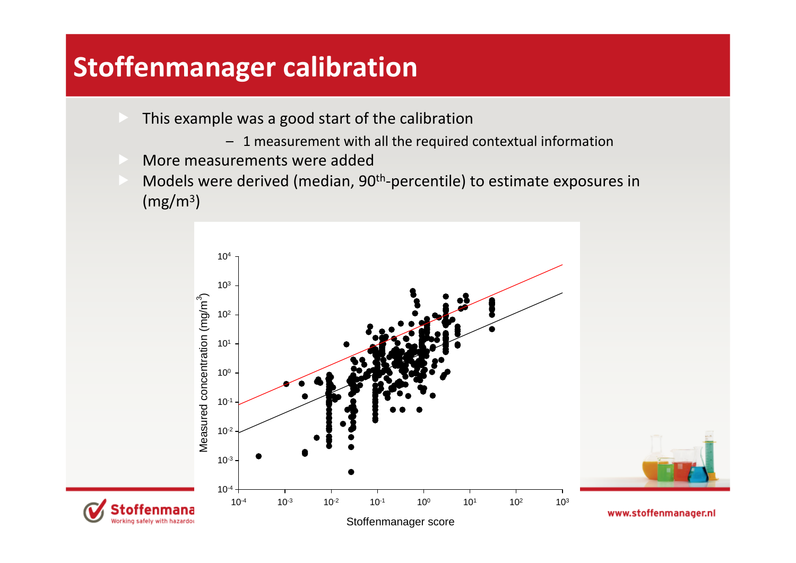#### **Stoffenmanager calibration**

- **EXTE:** This example was a good start of the calibration
	- 1 measurement with all the required contextual information
- More measurements were added
- Models were derived (median, 90<sup>th</sup>-percentile) to estimate exposures in  $\rm (mg/m^3)$

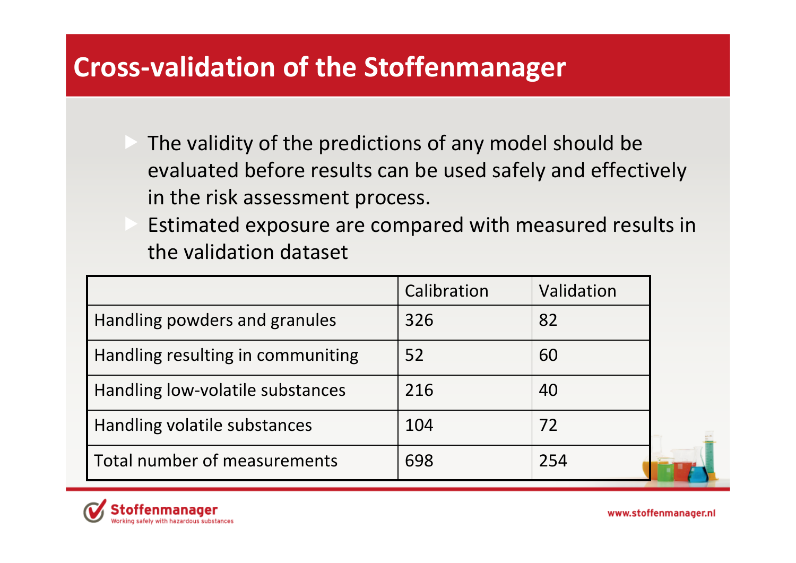#### **Cross‐validation of the Stoffenmanager**

- The validity of the predictions of any model should be evaluated before results can be used safely and effectively in the risk assessment process.
- Estimated exposure are compared with measured results in the validation dataset

|                                   | Calibration | Validation |  |
|-----------------------------------|-------------|------------|--|
| Handling powders and granules     | 326         | 82         |  |
| Handling resulting in communiting | 52          | 60         |  |
| Handling low-volatile substances  | 216         | 40         |  |
| Handling volatile substances      | 104         | 72         |  |
| Total number of measurements      | 698         | 254        |  |

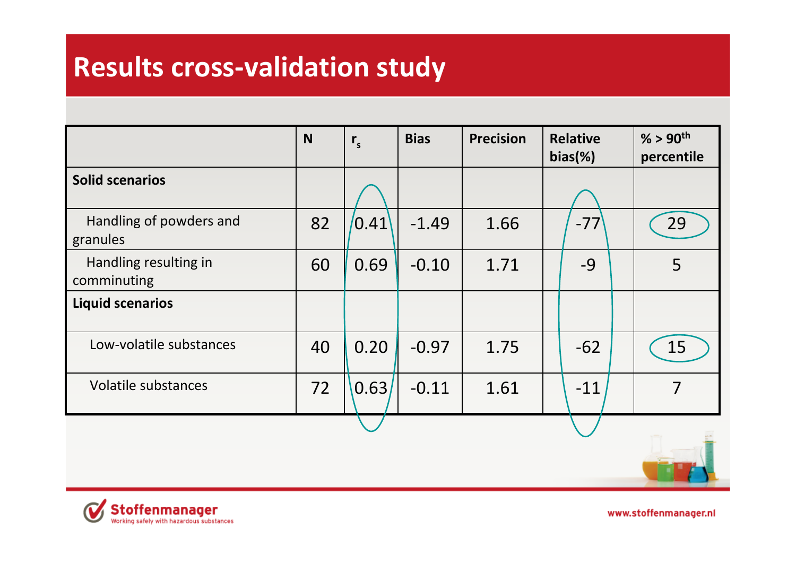#### **Results cross‐validation study**

|                                      | N  | $r_{s}$ | <b>Bias</b> | <b>Precision</b> | <b>Relative</b><br>$bias$ %) | $% > 90$ <sup>th</sup><br>percentile |
|--------------------------------------|----|---------|-------------|------------------|------------------------------|--------------------------------------|
| <b>Solid scenarios</b>               |    |         |             |                  |                              |                                      |
| Handling of powders and<br>granules  | 82 | 0.41    | $-1.49$     | 1.66             | $-77$                        | 29                                   |
| Handling resulting in<br>comminuting | 60 | 0.69    | $-0.10$     | 1.71             | $-9$                         | 5                                    |
| <b>Liquid scenarios</b>              |    |         |             |                  |                              |                                      |
| Low-volatile substances              | 40 | 0.20    | $-0.97$     | 1.75             | $-62$                        | 15                                   |
| Volatile substances                  | 72 | 0.63    | $-0.11$     | 1.61             | $-11$                        | 7                                    |
|                                      |    |         |             |                  |                              |                                      |

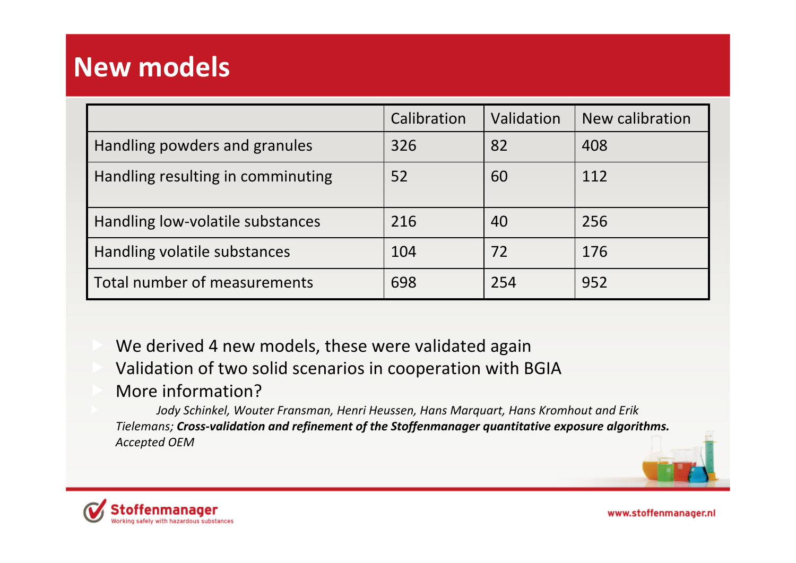#### **New models**

|                                   | Calibration | Validation | New calibration |
|-----------------------------------|-------------|------------|-----------------|
| Handling powders and granules     | 326         | 82         | 408             |
| Handling resulting in comminuting | 52          | 60         | 112             |
| Handling low-volatile substances  | 216         | 40         | 256             |
| Handling volatile substances      | 104         | 72         | 176             |
| Total number of measurements      | 698         | 254        | 952             |

 We derived 4 new models, these were validated again Validation of two solid scenarios in cooperation with BGIA

#### More information?

 *Jody Schinkel, Wouter Fransman, Henri Heussen, Hans Marquart, Hans Kromhout and Erik Tielemans; Cross‐validation and refinement of the Stoffenmanager quantitative exposure algorithms. Accepted OEM*



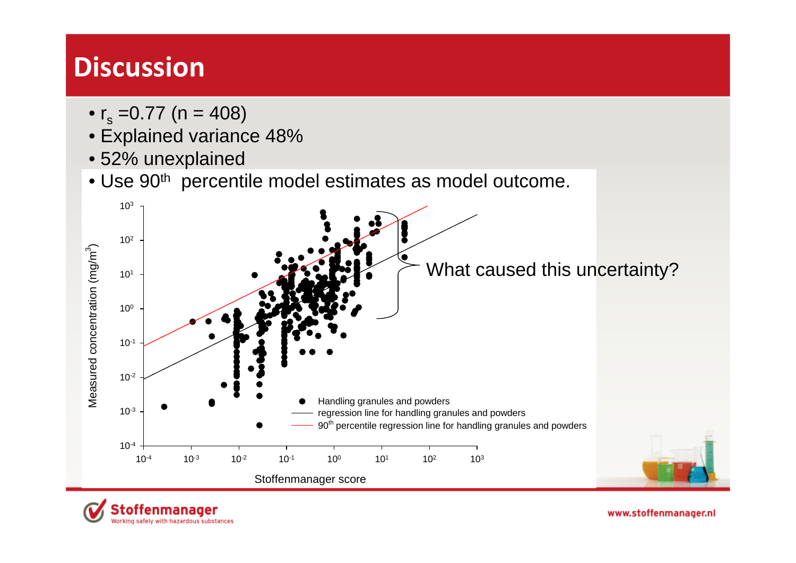#### **Discussion**

- $\bullet$  r<sub>s</sub> =0.77 (n = 408)
- Explained variance 48%
- 52% unexplained

toffenmanager

Working safely with hazardous substances

• Use  $90<sup>th</sup>$  percentile model estimates as model outcome.

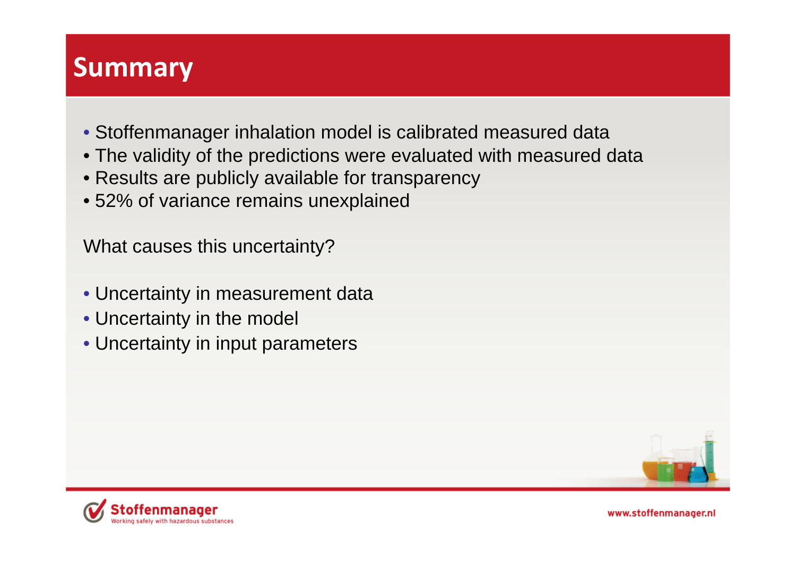#### **Summary**

- Stoffenmanager inhalation model is calibrated measured data
- The validity of the predictions were evaluated with measured data
- Results are publicly available for transparency
- 52% of variance remains unexplained

What causes this uncertainty?

- Uncertainty in measurement data
- Uncertainty in the model
- Uncertainty in input parameters